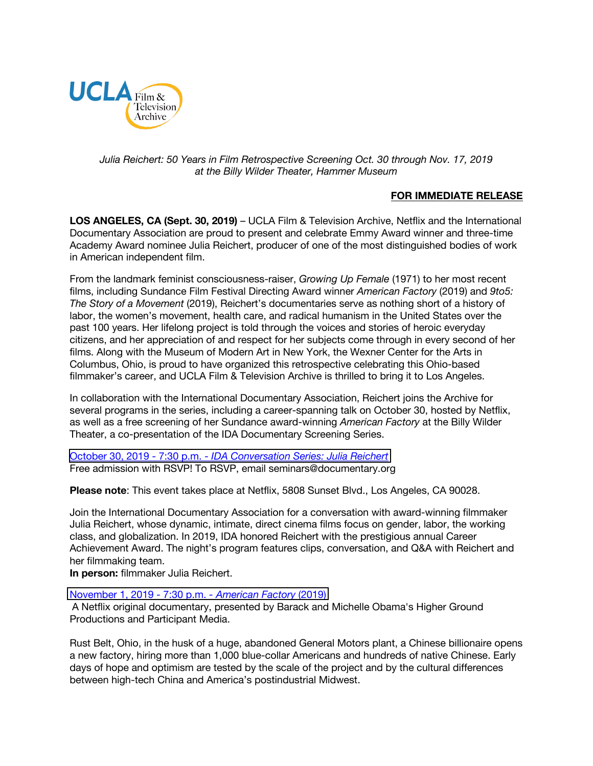

## *Julia Reichert: 50 Years in Film Retrospective Screening Oct. 30 through Nov. 17, 2019 at the Billy Wilder Theater, Hammer Museum*

# **FOR IMMEDIATE RELEASE**

**LOS ANGELES, CA (Sept. 30, 2019)** – UCLA Film & Television Archive, Netflix and the International Documentary Association are proud to present and celebrate Emmy Award winner and three-time Academy Award nominee Julia Reichert, producer of one of the most distinguished bodies of work in American independent film.

From the landmark feminist consciousness-raiser, *Growing Up Female* (1971) to her most recent films, including Sundance Film Festival Directing Award winner *American Factory* (2019) and *9to5: The Story of a Movement* (2019), Reichert's documentaries serve as nothing short of a history of labor, the women's movement, health care, and radical humanism in the United States over the past 100 years. Her lifelong project is told through the voices and stories of heroic everyday citizens, and her appreciation of and respect for her subjects come through in every second of her films. Along with the Museum of Modern Art in New York, the Wexner Center for the Arts in Columbus, Ohio, is proud to have organized this retrospective celebrating this Ohio-based filmmaker's career, and UCLA Film & Television Archive is thrilled to bring it to Los Angeles.

In collaboration with the International Documentary Association, Reichert joins the Archive for several programs in the series, including a career-spanning talk on October 30, hosted by Netflix, as well as a free screening of her Sundance award-winning *American Factory* at the Billy Wilder Theater, a co-presentation of the IDA Documentary Screening Series.

October 30, 2019 - 7:30 p.m. - *[IDA Conversation Series: Julia Reichert](https://www.cinema.ucla.edu/events/2019/10/30/ida-conversation-julia-reichert)* Free admission with RSVP! To RSVP, email seminars@documentary.org

**Please note**: This event takes place at Netflix, 5808 Sunset Blvd., Los Angeles, CA 90028.

Join the International Documentary Association for a conversation with award-winning filmmaker Julia Reichert, whose dynamic, intimate, direct cinema films focus on gender, labor, the working class, and globalization. In 2019, IDA honored Reichert with the prestigious annual Career Achievement Award. The night's program features clips, conversation, and Q&A with Reichert and her filmmaking team.

**In person:** filmmaker Julia Reichert.

#### [November 1, 2019 -](https://www.cinema.ucla.edu/events/2019/11/1/american-factory) 7:30 p.m. *- American Factory* (2019)

A Netflix original documentary, presented by Barack and Michelle Obama's Higher Ground Productions and Participant Media.

Rust Belt, Ohio, in the husk of a huge, abandoned General Motors plant, a Chinese billionaire opens a new factory, hiring more than 1,000 blue-collar Americans and hundreds of native Chinese. Early days of hope and optimism are tested by the scale of the project and by the cultural differences between high-tech China and America's postindustrial Midwest.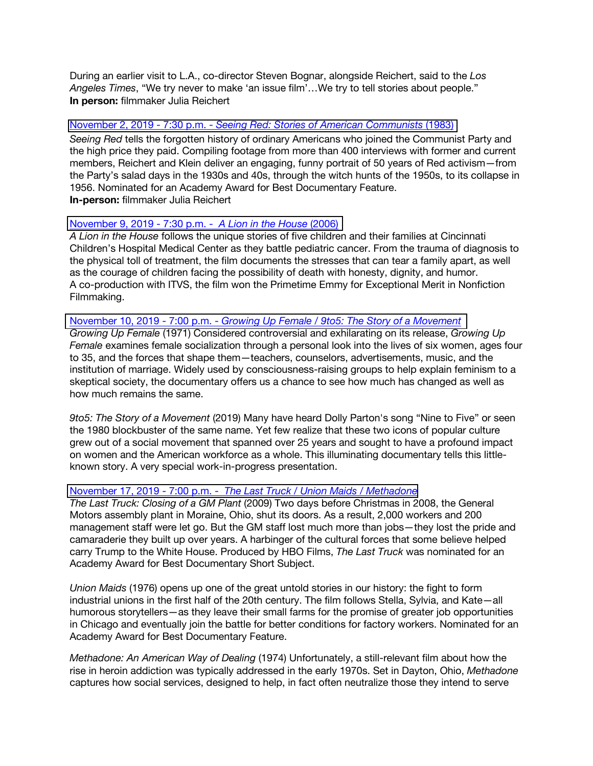During an earlier visit to L.A., co-director Steven Bognar, alongside Reichert, said to the *Los Angeles Times*, "We try never to make 'an issue film'…We try to tell stories about people." **In person:** filmmaker Julia Reichert

### November 2, 2019 - 7:30 p.m. - *[Seeing Red: Stories of American Communists](https://www.cinema.ucla.edu/events/2019/11/2/seeing-red-stories-of-american-communists)* (1983)

*Seeing Red* tells the forgotten history of ordinary Americans who joined the Communist Party and the high price they paid. Compiling footage from more than 400 interviews with former and current members, Reichert and Klein deliver an engaging, funny portrait of 50 years of Red activism—from the Party's salad days in the 1930s and 40s, through the witch hunts of the 1950s, to its collapse in 1956. Nominated for an Academy Award for Best Documentary Feature. **In-person:** filmmaker Julia Reichert

### [November 9, 2019 -](https://www.cinema.ucla.edu/events/2019/11/9/lion-in-the-house) 7:30 p.m. - *A Lion in the House* (2006)

*A Lion in the House* follows the unique stories of five children and their families at Cincinnati Children's Hospital Medical Center as they battle pediatric cancer. From the trauma of diagnosis to the physical toll of treatment, the film documents the stresses that can tear a family apart, as well as the courage of children facing the possibility of death with honesty, dignity, and humor. A co-production with ITVS, the film won the Primetime Emmy for Exceptional Merit in Nonfiction Filmmaking.

### November 10, 2019 - 7:00 p.m. - *[Growing Up Female / 9to5: The Story of a Movement](https://www.cinema.ucla.edu/events/2019/11/10/growing-up-female-9to5-story-of-a-movement)*

*Growing Up Female* (1971) Considered controversial and exhilarating on its release, *Growing Up Female* examines female socialization through a personal look into the lives of six women, ages four to 35, and the forces that shape them—teachers, counselors, advertisements, music, and the institution of marriage. Widely used by consciousness-raising groups to help explain feminism to a skeptical society, the documentary offers us a chance to see how much has changed as well as how much remains the same.

*9to5: The Story of a Movement* (2019) Many have heard Dolly Parton's song "Nine to Five" or seen the 1980 blockbuster of the same name. Yet few realize that these two icons of popular culture grew out of a social movement that spanned over 25 years and sought to have a profound impact on women and the American workforce as a whole. This illuminating documentary tells this littleknown story. A very special work-in-progress presentation.

# November 17, 2019 - 7:00 p.m. - *[The Last Truck / Union Maids / Methadone](https://www.cinema.ucla.edu/events/2019/11/17/last-truck-union-maids-methadone)*

*The Last Truck: Closing of a GM Plant* (2009) Two days before Christmas in 2008, the General Motors assembly plant in Moraine, Ohio, shut its doors. As a result, 2,000 workers and 200 management staff were let go. But the GM staff lost much more than jobs—they lost the pride and camaraderie they built up over years. A harbinger of the cultural forces that some believe helped carry Trump to the White House. Produced by HBO Films, *The Last Truck* was nominated for an Academy Award for Best Documentary Short Subject.

*Union Maids* (1976) opens up one of the great untold stories in our history: the fight to form industrial unions in the first half of the 20th century. The film follows Stella, Sylvia, and Kate—all humorous storytellers—as they leave their small farms for the promise of greater job opportunities in Chicago and eventually join the battle for better conditions for factory workers. Nominated for an Academy Award for Best Documentary Feature.

*Methadone: An American Way of Dealing* (1974) Unfortunately, a still-relevant film about how the rise in heroin addiction was typically addressed in the early 1970s. Set in Dayton, Ohio, *Methadone* captures how social services, designed to help, in fact often neutralize those they intend to serve